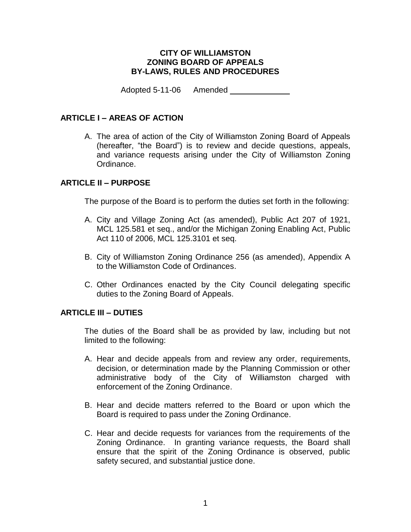#### **CITY OF WILLIAMSTON ZONING BOARD OF APPEALS BY-LAWS, RULES AND PROCEDURES**

Adopted 5-11-06 Amended

## **ARTICLE I – AREAS OF ACTION**

A. The area of action of the City of Williamston Zoning Board of Appeals (hereafter, "the Board") is to review and decide questions, appeals, and variance requests arising under the City of Williamston Zoning Ordinance.

#### **ARTICLE II – PURPOSE**

The purpose of the Board is to perform the duties set forth in the following:

- A. City and Village Zoning Act (as amended), Public Act 207 of 1921, MCL 125.581 et seq., and/or the Michigan Zoning Enabling Act, Public Act 110 of 2006, MCL 125.3101 et seq.
- B. City of Williamston Zoning Ordinance 256 (as amended), Appendix A to the Williamston Code of Ordinances.
- C. Other Ordinances enacted by the City Council delegating specific duties to the Zoning Board of Appeals.

## **ARTICLE III – DUTIES**

The duties of the Board shall be as provided by law, including but not limited to the following:

- A. Hear and decide appeals from and review any order, requirements, decision, or determination made by the Planning Commission or other administrative body of the City of Williamston charged with enforcement of the Zoning Ordinance.
- B. Hear and decide matters referred to the Board or upon which the Board is required to pass under the Zoning Ordinance.
- C. Hear and decide requests for variances from the requirements of the Zoning Ordinance. In granting variance requests, the Board shall ensure that the spirit of the Zoning Ordinance is observed, public safety secured, and substantial justice done.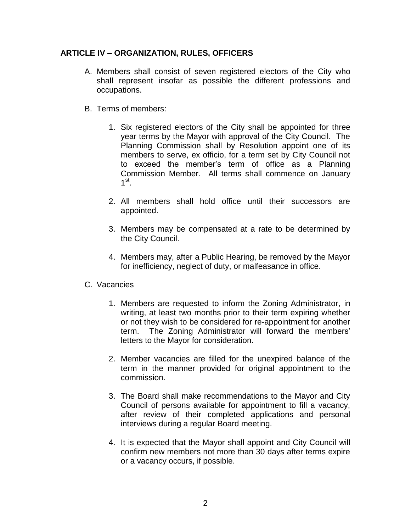# **ARTICLE IV – ORGANIZATION, RULES, OFFICERS**

- A. Members shall consist of seven registered electors of the City who shall represent insofar as possible the different professions and occupations.
- B. Terms of members:
	- 1. Six registered electors of the City shall be appointed for three year terms by the Mayor with approval of the City Council. The Planning Commission shall by Resolution appoint one of its members to serve, ex officio, for a term set by City Council not to exceed the member's term of office as a Planning Commission Member. All terms shall commence on January 1 st .
	- 2. All members shall hold office until their successors are appointed.
	- 3. Members may be compensated at a rate to be determined by the City Council.
	- 4. Members may, after a Public Hearing, be removed by the Mayor for inefficiency, neglect of duty, or malfeasance in office.
- C. Vacancies
	- 1. Members are requested to inform the Zoning Administrator, in writing, at least two months prior to their term expiring whether or not they wish to be considered for re-appointment for another term. The Zoning Administrator will forward the members' letters to the Mayor for consideration.
	- 2. Member vacancies are filled for the unexpired balance of the term in the manner provided for original appointment to the commission.
	- 3. The Board shall make recommendations to the Mayor and City Council of persons available for appointment to fill a vacancy, after review of their completed applications and personal interviews during a regular Board meeting.
	- 4. It is expected that the Mayor shall appoint and City Council will confirm new members not more than 30 days after terms expire or a vacancy occurs, if possible.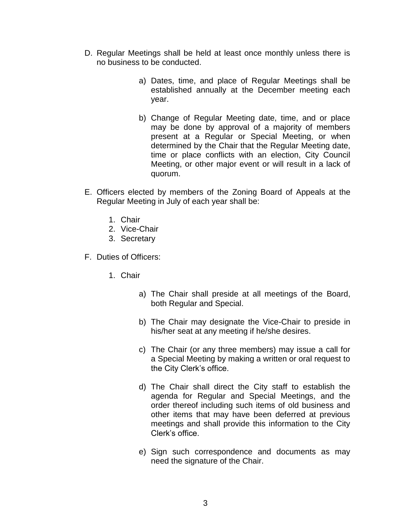- D. Regular Meetings shall be held at least once monthly unless there is no business to be conducted.
	- a) Dates, time, and place of Regular Meetings shall be established annually at the December meeting each year.
	- b) Change of Regular Meeting date, time, and or place may be done by approval of a majority of members present at a Regular or Special Meeting, or when determined by the Chair that the Regular Meeting date, time or place conflicts with an election, City Council Meeting, or other major event or will result in a lack of quorum.
- E. Officers elected by members of the Zoning Board of Appeals at the Regular Meeting in July of each year shall be:
	- 1. Chair
	- 2. Vice-Chair
	- 3. Secretary
- F. Duties of Officers:
	- 1. Chair
		- a) The Chair shall preside at all meetings of the Board, both Regular and Special.
		- b) The Chair may designate the Vice-Chair to preside in his/her seat at any meeting if he/she desires.
		- c) The Chair (or any three members) may issue a call for a Special Meeting by making a written or oral request to the City Clerk's office.
		- d) The Chair shall direct the City staff to establish the agenda for Regular and Special Meetings, and the order thereof including such items of old business and other items that may have been deferred at previous meetings and shall provide this information to the City Clerk's office.
		- e) Sign such correspondence and documents as may need the signature of the Chair.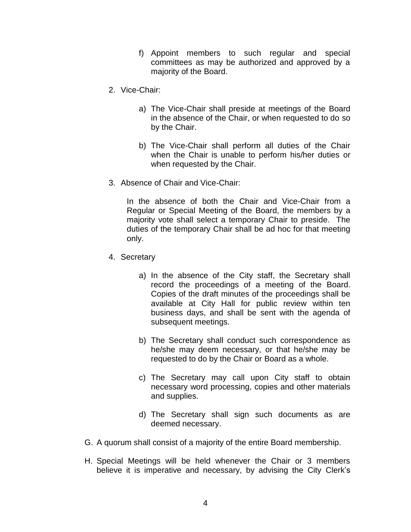- f) Appoint members to such regular and special committees as may be authorized and approved by a majority of the Board.
- 2. Vice-Chair:
	- a) The Vice-Chair shall preside at meetings of the Board in the absence of the Chair, or when requested to do so by the Chair.
	- b) The Vice-Chair shall perform all duties of the Chair when the Chair is unable to perform his/her duties or when requested by the Chair.
- 3. Absence of Chair and Vice-Chair:

In the absence of both the Chair and Vice-Chair from a Regular or Special Meeting of the Board, the members by a majority vote shall select a temporary Chair to preside. The duties of the temporary Chair shall be ad hoc for that meeting only.

- 4. Secretary
	- a) In the absence of the City staff, the Secretary shall record the proceedings of a meeting of the Board. Copies of the draft minutes of the proceedings shall be available at City Hall for public review within ten business days, and shall be sent with the agenda of subsequent meetings.
	- b) The Secretary shall conduct such correspondence as he/she may deem necessary, or that he/she may be requested to do by the Chair or Board as a whole.
	- c) The Secretary may call upon City staff to obtain necessary word processing, copies and other materials and supplies.
	- d) The Secretary shall sign such documents as are deemed necessary.
- G. A quorum shall consist of a majority of the entire Board membership.
- H. Special Meetings will be held whenever the Chair or 3 members believe it is imperative and necessary, by advising the City Clerk's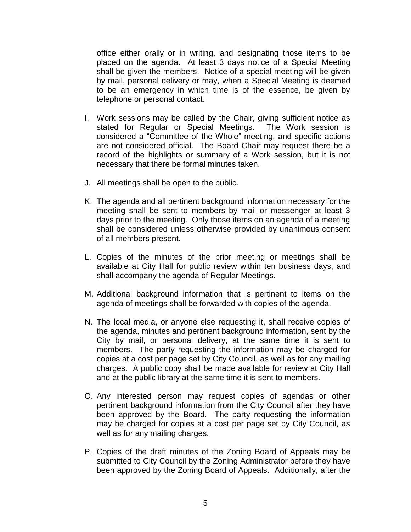office either orally or in writing, and designating those items to be placed on the agenda. At least 3 days notice of a Special Meeting shall be given the members. Notice of a special meeting will be given by mail, personal delivery or may, when a Special Meeting is deemed to be an emergency in which time is of the essence, be given by telephone or personal contact.

- I. Work sessions may be called by the Chair, giving sufficient notice as stated for Regular or Special Meetings. The Work session is considered a "Committee of the Whole" meeting, and specific actions are not considered official. The Board Chair may request there be a record of the highlights or summary of a Work session, but it is not necessary that there be formal minutes taken.
- J. All meetings shall be open to the public.
- K. The agenda and all pertinent background information necessary for the meeting shall be sent to members by mail or messenger at least 3 days prior to the meeting. Only those items on an agenda of a meeting shall be considered unless otherwise provided by unanimous consent of all members present.
- L. Copies of the minutes of the prior meeting or meetings shall be available at City Hall for public review within ten business days, and shall accompany the agenda of Regular Meetings.
- M. Additional background information that is pertinent to items on the agenda of meetings shall be forwarded with copies of the agenda.
- N. The local media, or anyone else requesting it, shall receive copies of the agenda, minutes and pertinent background information, sent by the City by mail, or personal delivery, at the same time it is sent to members. The party requesting the information may be charged for copies at a cost per page set by City Council, as well as for any mailing charges. A public copy shall be made available for review at City Hall and at the public library at the same time it is sent to members.
- O. Any interested person may request copies of agendas or other pertinent background information from the City Council after they have been approved by the Board. The party requesting the information may be charged for copies at a cost per page set by City Council, as well as for any mailing charges.
- P. Copies of the draft minutes of the Zoning Board of Appeals may be submitted to City Council by the Zoning Administrator before they have been approved by the Zoning Board of Appeals. Additionally, after the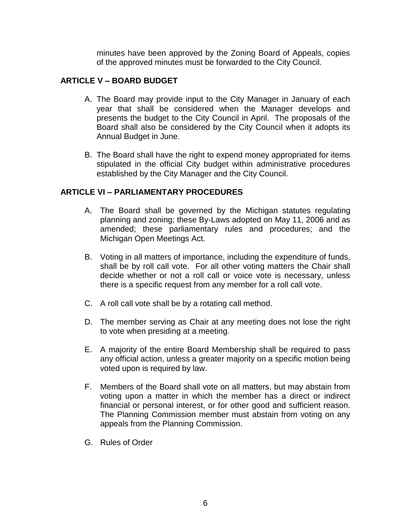minutes have been approved by the Zoning Board of Appeals, copies of the approved minutes must be forwarded to the City Council.

## **ARTICLE V – BOARD BUDGET**

- A. The Board may provide input to the City Manager in January of each year that shall be considered when the Manager develops and presents the budget to the City Council in April. The proposals of the Board shall also be considered by the City Council when it adopts its Annual Budget in June.
- B. The Board shall have the right to expend money appropriated for items stipulated in the official City budget within administrative procedures established by the City Manager and the City Council.

## **ARTICLE VI – PARLIAMENTARY PROCEDURES**

- A. The Board shall be governed by the Michigan statutes regulating planning and zoning; these By-Laws adopted on May 11, 2006 and as amended; these parliamentary rules and procedures; and the Michigan Open Meetings Act.
- B. Voting in all matters of importance, including the expenditure of funds, shall be by roll call vote. For all other voting matters the Chair shall decide whether or not a roll call or voice vote is necessary, unless there is a specific request from any member for a roll call vote.
- C. A roll call vote shall be by a rotating call method.
- D. The member serving as Chair at any meeting does not lose the right to vote when presiding at a meeting.
- E. A majority of the entire Board Membership shall be required to pass any official action, unless a greater majority on a specific motion being voted upon is required by law.
- F. Members of the Board shall vote on all matters, but may abstain from voting upon a matter in which the member has a direct or indirect financial or personal interest, or for other good and sufficient reason. The Planning Commission member must abstain from voting on any appeals from the Planning Commission.
- G. Rules of Order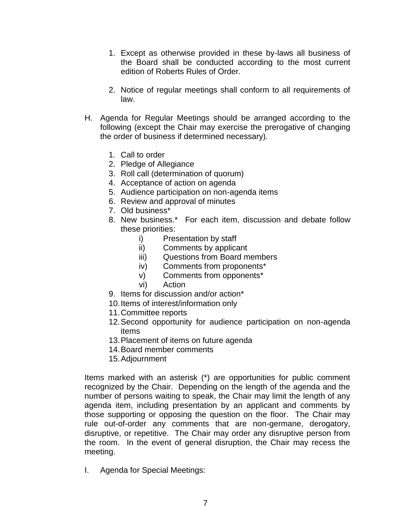- 1. Except as otherwise provided in these by-laws all business of the Board shall be conducted according to the most current edition of Roberts Rules of Order.
- 2. Notice of regular meetings shall conform to all requirements of law.
- H. Agenda for Regular Meetings should be arranged according to the following (except the Chair may exercise the prerogative of changing the order of business if determined necessary).
	- 1. Call to order
	- 2. Pledge of Allegiance
	- 3. Roll call (determination of quorum)
	- 4. Acceptance of action on agenda
	- 5. Audience participation on non-agenda items
	- 6. Review and approval of minutes
	- 7. Old business\*
	- 8. New business.\* For each item, discussion and debate follow these priorities:
		- i) Presentation by staff
		- ii) Comments by applicant
		- iii) Questions from Board members
		- iv) Comments from proponents\*
		- v) Comments from opponents\*
		- vi) Action
	- 9. Items for discussion and/or action\*
	- 10.Items of interest/information only
	- 11.Committee reports
	- 12.Second opportunity for audience participation on non-agenda items
	- 13.Placement of items on future agenda
	- 14.Board member comments
	- 15.Adjournment

Items marked with an asterisk (\*) are opportunities for public comment recognized by the Chair. Depending on the length of the agenda and the number of persons waiting to speak, the Chair may limit the length of any agenda item, including presentation by an applicant and comments by those supporting or opposing the question on the floor. The Chair may rule out-of-order any comments that are non-germane, derogatory, disruptive, or repetitive. The Chair may order any disruptive person from the room. In the event of general disruption, the Chair may recess the meeting.

I. Agenda for Special Meetings: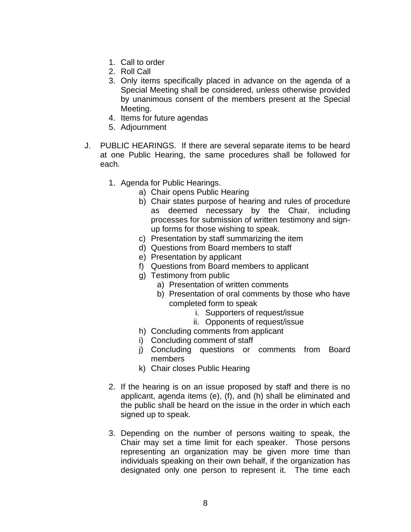- 1. Call to order
- 2. Roll Call
- 3. Only items specifically placed in advance on the agenda of a Special Meeting shall be considered, unless otherwise provided by unanimous consent of the members present at the Special Meeting.
- 4. Items for future agendas
- 5. Adjournment
- J. PUBLIC HEARINGS. If there are several separate items to be heard at one Public Hearing, the same procedures shall be followed for each.
	- 1. Agenda for Public Hearings.
		- a) Chair opens Public Hearing
		- b) Chair states purpose of hearing and rules of procedure as deemed necessary by the Chair, including processes for submission of written testimony and signup forms for those wishing to speak.
		- c) Presentation by staff summarizing the item
		- d) Questions from Board members to staff
		- e) Presentation by applicant
		- f) Questions from Board members to applicant
		- g) Testimony from public
			- a) Presentation of written comments
			- b) Presentation of oral comments by those who have completed form to speak
				- i. Supporters of request/issue
				- ii. Opponents of request/issue
		- h) Concluding comments from applicant
		- i) Concluding comment of staff
		- j) Concluding questions or comments from Board members
		- k) Chair closes Public Hearing
	- 2. If the hearing is on an issue proposed by staff and there is no applicant, agenda items (e), (f), and (h) shall be eliminated and the public shall be heard on the issue in the order in which each signed up to speak.
	- 3. Depending on the number of persons waiting to speak, the Chair may set a time limit for each speaker. Those persons representing an organization may be given more time than individuals speaking on their own behalf, if the organization has designated only one person to represent it. The time each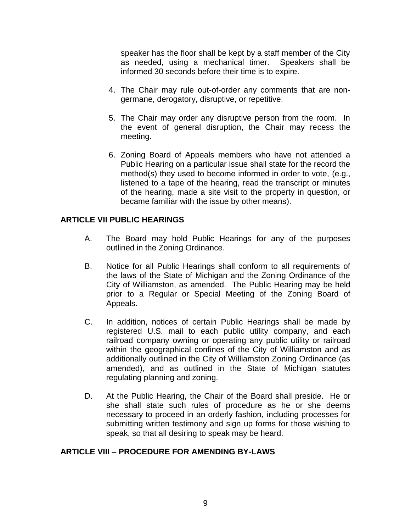speaker has the floor shall be kept by a staff member of the City as needed, using a mechanical timer. Speakers shall be informed 30 seconds before their time is to expire.

- 4. The Chair may rule out-of-order any comments that are nongermane, derogatory, disruptive, or repetitive.
- 5. The Chair may order any disruptive person from the room. In the event of general disruption, the Chair may recess the meeting.
- 6. Zoning Board of Appeals members who have not attended a Public Hearing on a particular issue shall state for the record the method(s) they used to become informed in order to vote, (e.g., listened to a tape of the hearing, read the transcript or minutes of the hearing, made a site visit to the property in question, or became familiar with the issue by other means).

# **ARTICLE VII PUBLIC HEARINGS**

- A. The Board may hold Public Hearings for any of the purposes outlined in the Zoning Ordinance.
- B. Notice for all Public Hearings shall conform to all requirements of the laws of the State of Michigan and the Zoning Ordinance of the City of Williamston, as amended. The Public Hearing may be held prior to a Regular or Special Meeting of the Zoning Board of Appeals.
- C. In addition, notices of certain Public Hearings shall be made by registered U.S. mail to each public utility company, and each railroad company owning or operating any public utility or railroad within the geographical confines of the City of Williamston and as additionally outlined in the City of Williamston Zoning Ordinance (as amended), and as outlined in the State of Michigan statutes regulating planning and zoning.
- D. At the Public Hearing, the Chair of the Board shall preside. He or she shall state such rules of procedure as he or she deems necessary to proceed in an orderly fashion, including processes for submitting written testimony and sign up forms for those wishing to speak, so that all desiring to speak may be heard.

## **ARTICLE VIII – PROCEDURE FOR AMENDING BY-LAWS**